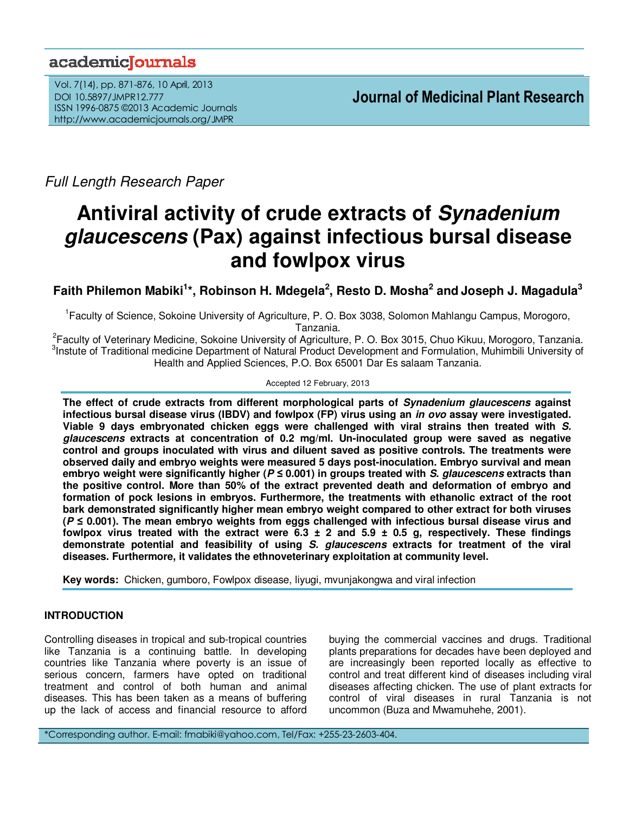## academiclournals

Vol. 7(14), pp. 871-876, 10 April, 2013 DOI 10.5897/JMPR12.777 ISSN 1996-0875 ©2013 Academic Journals http://www.academicjournals.org/JMPR

Full Length Research Paper

# **Antiviral activity of crude extracts of Synadenium glaucescens (Pax) against infectious bursal disease and fowlpox virus**

**Faith Philemon Mabiki<sup>1</sup> \*, Robinson H. Mdegela<sup>2</sup> , Resto D. Mosha<sup>2</sup> and Joseph J. Magadula<sup>3</sup>**

<sup>1</sup> Faculty of Science, Sokoine University of Agriculture, P. O. Box 3038, Solomon Mahlangu Campus, Morogoro, Tanzania.

<sup>2</sup> Faculty of Veterinary Medicine, Sokoine University of Agriculture, P. O. Box 3015, Chuo Kikuu, Morogoro, Tanzania. <sup>3</sup>Instute of Traditional medicine Department of Natural Product Development and Formulation, Muhimbili University of Health and Applied Sciences, P.O. Box 65001 Dar Es salaam Tanzania.

### Accepted 12 February, 2013

**The effect of crude extracts from different morphological parts of Synadenium glaucescens against infectious bursal disease virus (IBDV) and fowlpox (FP) virus using an in ovo assay were investigated. Viable 9 days embryonated chicken eggs were challenged with viral strains then treated with S. glaucescens extracts at concentration of 0.2 mg/ml. Un-inoculated group were saved as negative control and groups inoculated with virus and diluent saved as positive controls. The treatments were observed daily and embryo weights were measured 5 days post-inoculation. Embryo survival and mean embryo weight were significantly higher (P** *≤* **0.001) in groups treated with S. glaucescens extracts than the positive control. More than 50% of the extract prevented death and deformation of embryo and formation of pock lesions in embryos. Furthermore, the treatments with ethanolic extract of the root bark demonstrated significantly higher mean embryo weight compared to other extract for both viruses (P ≤ 0.001). The mean embryo weights from eggs challenged with infectious bursal disease virus and fowlpox virus treated with the extract were 6.3 ± 2 and 5.9 ± 0.5 g, respectively. These findings demonstrate potential and feasibility of using S. glaucescens extracts for treatment of the viral diseases. Furthermore, it validates the ethnoveterinary exploitation at community level.** 

**Key words:** Chicken, gumboro, Fowlpox disease, liyugi, mvunjakongwa and viral infection

## **INTRODUCTION**

Controlling diseases in tropical and sub-tropical countries like Tanzania is a continuing battle. In developing countries like Tanzania where poverty is an issue of serious concern, farmers have opted on traditional treatment and control of both human and animal diseases. This has been taken as a means of buffering up the lack of access and financial resource to afford buying the commercial vaccines and drugs. Traditional plants preparations for decades have been deployed and are increasingly been reported locally as effective to control and treat different kind of diseases including viral diseases affecting chicken. The use of plant extracts for control of viral diseases in rural Tanzania is not uncommon (Buza and Mwamuhehe, 2001).

\*Corresponding author. E-mail: fmabiki@yahoo.com, Tel/Fax: +255-23-2603-404.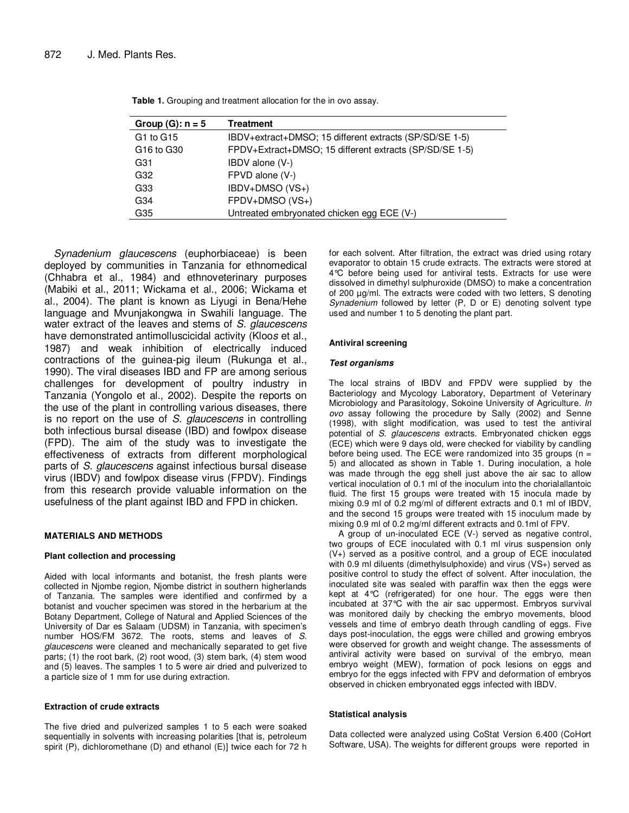| Group $(G)$ : $n = 5$ | <b>Treatment</b>                                        |
|-----------------------|---------------------------------------------------------|
| G1 to G15             | IBDV+extract+DMSO; 15 different extracts (SP/SD/SE 1-5) |
| G16 to G30            | FPDV+Extract+DMSO; 15 different extracts (SP/SD/SE 1-5) |
| G31                   | IBDV alone (V-)                                         |
| G32                   | FPVD alone (V-)                                         |
| G33                   | IBDV+DMSO (VS+)                                         |
| G34                   | FPDV+DMSO (VS+)                                         |
| G35                   | Untreated embryonated chicken egg ECE (V-)              |

**Table 1.** Grouping and treatment allocation for the in ovo assay.

Synadenium glaucescens (euphorbiaceae) is been deployed by communities in Tanzania for ethnomedical (Chhabra et al., 1984) and ethnoveterinary purposes (Mabiki et al., 2011; Wickama et al., 2006; Wickama et al., 2004). The plant is known as Liyugi in Bena/Hehe language and Mvunjakongwa in Swahili language. The water extract of the leaves and stems of S. glaucescens have demonstrated antimolluscicidal activity (Kloos et al., 1987) and weak inhibition of electrically induced contractions of the guinea-pig ileum (Rukunga et al., 1990). The viral diseases IBD and FP are among serious challenges for development of poultry industry in Tanzania (Yongolo et al., 2002). Despite the reports on the use of the plant in controlling various diseases, there is no report on the use of S. glaucescens in controlling both infectious bursal disease (IBD) and fowlpox disease (FPD). The aim of the study was to investigate the effectiveness of extracts from different morphological parts of S. glaucescens against infectious bursal disease virus (IBDV) and fowlpox disease virus (FPDV). Findings from this research provide valuable information on the usefulness of the plant against IBD and FPD in chicken.

#### **MATERIALS AND METHODS**

#### **Plant collection and processing**

Aided with local informants and botanist, the fresh plants were collected in Njombe region, Njombe district in southern higherlands of Tanzania. The samples were identified and confirmed by a botanist and voucher specimen was stored in the herbarium at the Botany Department, College of Natural and Applied Sciences of the University of Dar es Salaam (UDSM) in Tanzania, with specimen's number HOS/FM 3672. The roots, stems and leaves of S. glaucescens were cleaned and mechanically separated to get five parts; (1) the root bark, (2) root wood, (3) stem bark, (4) stem wood and (5) leaves. The samples 1 to 5 were air dried and pulverized to a particle size of 1 mm for use during extraction.

#### **Extraction of crude extracts**

The five dried and pulverized samples 1 to 5 each were soaked sequentially in solvents with increasing polarities [that is, petroleum spirit (P), dichloromethane (D) and ethanol (E)] twice each for 72 h for each solvent. After filtration, the extract was dried using rotary evaporator to obtain 15 crude extracts. The extracts were stored at 4°C before being used for antiviral tests. Extracts for use were dissolved in dimethyl sulphuroxide (DMSO) to make a concentration of 200 µg/ml. The extracts were coded with two letters, S denoting Synadenium followed by letter (P, D or E) denoting solvent type used and number 1 to 5 denoting the plant part.

#### **Antiviral screening**

#### **Test organisms**

The local strains of IBDV and FPDV were supplied by the Bacteriology and Mycology Laboratory, Department of Veterinary Microbiology and Parasitology, Sokoine University of Agriculture. In ovo assay following the procedure by Sally (2002) and Senne (1998), with slight modification, was used to test the antiviral potential of S. glaucescens extracts. Embryonated chicken eggs (ECE) which were 9 days old, were checked for viability by candling before being used. The ECE were randomized into 35 groups ( $n =$ 5) and allocated as shown in Table 1. During inoculation, a hole was made through the egg shell just above the air sac to allow vertical inoculation of 0.1 ml of the inoculum into the chorialallantoic fluid. The first 15 groups were treated with 15 inocula made by mixing 0.9 ml of 0.2 mg/ml of different extracts and 0.1 ml of IBDV, and the second 15 groups were treated with 15 inoculum made by mixing 0.9 ml of 0.2 mg/ml different extracts and 0.1ml of FPV.

A group of un-inoculated ECE (V-) served as negative control, two groups of ECE inoculated with 0.1 ml virus suspension only (V+) served as a positive control, and a group of ECE inoculated with 0.9 ml diluents (dimethylsulphoxide) and virus (VS+) served as positive control to study the effect of solvent. After inoculation, the inoculated site was sealed with paraffin wax then the eggs were kept at 4°C (refrigerated) for one hour. The eggs were then incubated at 37°C with the air sac uppermost. Embryos survival was monitored daily by checking the embryo movements, blood vessels and time of embryo death through candling of eggs. Five days post-inoculation, the eggs were chilled and growing embryos were observed for growth and weight change. The assessments of antiviral activity were based on survival of the embryo, mean embryo weight (MEW), formation of pock lesions on eggs and embryo for the eggs infected with FPV and deformation of embryos observed in chicken embryonated eggs infected with IBDV.

#### **Statistical analysis**

Data collected were analyzed using CoStat Version 6.400 (CoHort Software, USA). The weights for different groups were reported in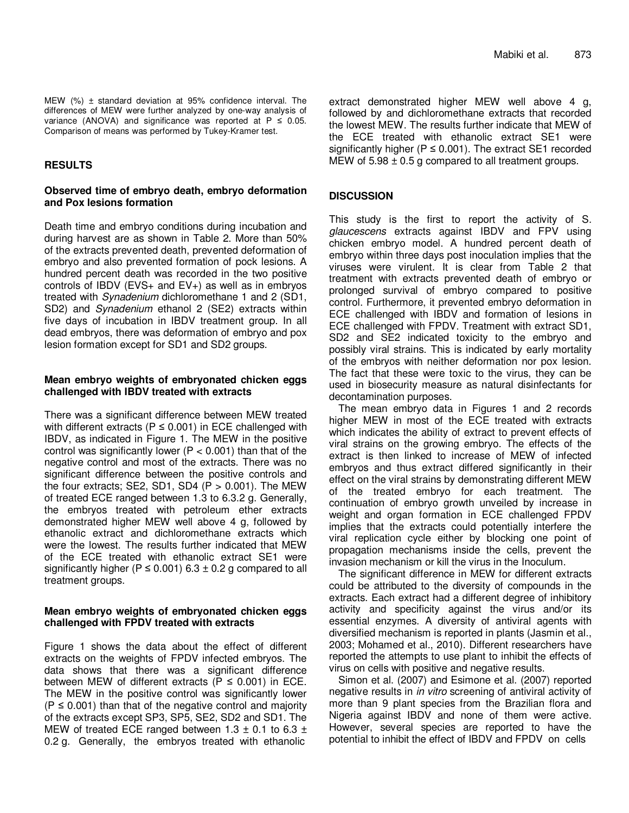MEW (%) ± standard deviation at 95% confidence interval. The differences of MEW were further analyzed by one-way analysis of variance (ANOVA) and significance was reported at  $P \le 0.05$ . Comparison of means was performed by Tukey-Kramer test.

## **RESULTS**

## **Observed time of embryo death, embryo deformation and Pox lesions formation**

Death time and embryo conditions during incubation and during harvest are as shown in Table 2. More than 50% of the extracts prevented death, prevented deformation of embryo and also prevented formation of pock lesions. A hundred percent death was recorded in the two positive controls of IBDV ( $EVS+$  and  $EV+$ ) as well as in embryos treated with Synadenium dichloromethane 1 and 2 (SD1, SD2) and Synadenium ethanol 2 (SE2) extracts within five days of incubation in IBDV treatment group. In all dead embryos, there was deformation of embryo and pox lesion formation except for SD1 and SD2 groups.

## **Mean embryo weights of embryonated chicken eggs challenged with IBDV treated with extracts**

There was a significant difference between MEW treated with different extracts ( $P \le 0.001$ ) in ECE challenged with IBDV, as indicated in Figure 1. The MEW in the positive control was significantly lower ( $P < 0.001$ ) than that of the negative control and most of the extracts. There was no significant difference between the positive controls and the four extracts; SE2, SD1, SD4  $(P > 0.001)$ . The MEW of treated ECE ranged between 1.3 to 6.3.2 g. Generally, the embryos treated with petroleum ether extracts demonstrated higher MEW well above 4 g, followed by ethanolic extract and dichloromethane extracts which were the lowest. The results further indicated that MEW of the ECE treated with ethanolic extract SE1 were significantly higher ( $P \le 0.001$ ) 6.3 ± 0.2 g compared to all treatment groups.

## **Mean embryo weights of embryonated chicken eggs challenged with FPDV treated with extracts**

Figure 1 shows the data about the effect of different extracts on the weights of FPDV infected embryos. The data shows that there was a significant difference between MEW of different extracts ( $P \le 0.001$ ) in ECE. The MEW in the positive control was significantly lower  $(P \le 0.001)$  than that of the negative control and majority of the extracts except SP3, SP5, SE2, SD2 and SD1. The MEW of treated ECE ranged between 1.3  $\pm$  0.1 to 6.3  $\pm$ 0.2 g. Generally, the embryos treated with ethanolic

extract demonstrated higher MEW well above 4 g, followed by and dichloromethane extracts that recorded the lowest MEW. The results further indicate that MEW of the ECE treated with ethanolic extract SE1 were significantly higher ( $P \le 0.001$ ). The extract SE1 recorded MEW of  $5.98 \pm 0.5$  g compared to all treatment groups.

## **DISCUSSION**

This study is the first to report the activity of S. glaucescens extracts against IBDV and FPV using chicken embryo model. A hundred percent death of embryo within three days post inoculation implies that the viruses were virulent. It is clear from Table 2 that treatment with extracts prevented death of embryo or prolonged survival of embryo compared to positive control. Furthermore, it prevented embryo deformation in ECE challenged with IBDV and formation of lesions in ECE challenged with FPDV. Treatment with extract SD1, SD2 and SE2 indicated toxicity to the embryo and possibly viral strains. This is indicated by early mortality of the embryos with neither deformation nor pox lesion. The fact that these were toxic to the virus, they can be used in biosecurity measure as natural disinfectants for decontamination purposes.

The mean embryo data in Figures 1 and 2 records higher MEW in most of the ECE treated with extracts which indicates the ability of extract to prevent effects of viral strains on the growing embryo. The effects of the extract is then linked to increase of MEW of infected embryos and thus extract differed significantly in their effect on the viral strains by demonstrating different MEW of the treated embryo for each treatment. The continuation of embryo growth unveiled by increase in weight and organ formation in ECE challenged FPDV implies that the extracts could potentially interfere the viral replication cycle either by blocking one point of propagation mechanisms inside the cells, prevent the invasion mechanism or kill the virus in the Inoculum.

The significant difference in MEW for different extracts could be attributed to the diversity of compounds in the extracts. Each extract had a different degree of inhibitory activity and specificity against the virus and/or its essential enzymes. A diversity of antiviral agents with diversified mechanism is reported in plants (Jasmin et al., 2003; Mohamed et al., 2010). Different researchers have reported the attempts to use plant to inhibit the effects of virus on cells with positive and negative results.

Simon et al. (2007) and Esimone et al. (2007) reported negative results in in vitro screening of antiviral activity of more than 9 plant species from the Brazilian flora and Nigeria against IBDV and none of them were active. However, several species are reported to have the potential to inhibit the effect of IBDV and FPDV on cells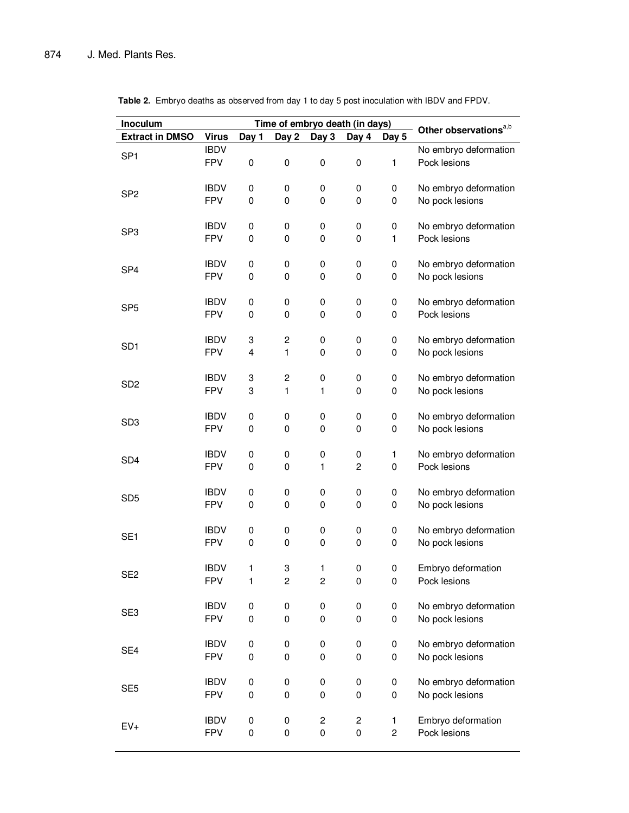| Inoculum               |                           | Time of embryo death (in days) |                         |                          |                                        |                     |                                          |
|------------------------|---------------------------|--------------------------------|-------------------------|--------------------------|----------------------------------------|---------------------|------------------------------------------|
| <b>Extract in DMSO</b> | <b>Virus</b>              | Day 1                          | Day 2                   | Day 3                    | Day 4                                  | Day 5               | Other observations <sup>a,b</sup>        |
| SP <sub>1</sub>        | <b>IBDV</b>               |                                |                         |                          |                                        |                     | No embryo deformation                    |
|                        | <b>FPV</b>                | $\boldsymbol{0}$               | 0                       | $\pmb{0}$                | $\pmb{0}$                              | 1                   | Pock lesions                             |
|                        | <b>IBDV</b>               | 0                              |                         |                          | $\pmb{0}$                              |                     |                                          |
| SP <sub>2</sub>        | <b>FPV</b>                | 0                              | 0<br>0                  | 0<br>0                   | $\pmb{0}$                              | 0<br>0              | No embryo deformation<br>No pock lesions |
|                        |                           |                                |                         |                          |                                        |                     |                                          |
|                        | <b>IBDV</b>               | $\pmb{0}$                      | 0                       | $\pmb{0}$                | 0                                      | 0                   | No embryo deformation                    |
| SP <sub>3</sub>        | <b>FPV</b>                | $\mathsf 0$                    | 0                       | 0                        | $\pmb{0}$                              | 1                   | Pock lesions                             |
|                        |                           |                                |                         |                          |                                        |                     |                                          |
| SP <sub>4</sub>        | <b>IBDV</b>               | $\pmb{0}$                      | 0                       | $\pmb{0}$                | $\pmb{0}$                              | 0                   | No embryo deformation                    |
|                        | <b>FPV</b>                | $\mathbf 0$                    | 0                       | 0                        | $\pmb{0}$                              | $\pmb{0}$           | No pock lesions                          |
|                        | <b>IBDV</b>               | 0                              | 0                       | $\pmb{0}$                | 0                                      | 0                   | No embryo deformation                    |
| SP <sub>5</sub>        | <b>FPV</b>                | $\mathbf 0$                    | 0                       | 0                        | $\pmb{0}$                              | 0                   | Pock lesions                             |
|                        |                           |                                |                         |                          |                                        |                     |                                          |
|                        | <b>IBDV</b>               | 3                              | $\mathbf 2$             | $\pmb{0}$                | 0                                      | 0                   | No embryo deformation                    |
| SD <sub>1</sub>        | <b>FPV</b>                | $\overline{\mathbf{4}}$        | 1                       | 0                        | $\pmb{0}$                              | 0                   | No pock lesions                          |
|                        |                           |                                |                         |                          |                                        |                     |                                          |
| SD <sub>2</sub>        | <b>IBDV</b>               | 3                              | $\mathbf 2$             | $\pmb{0}$                | $\pmb{0}$                              | 0                   | No embryo deformation                    |
|                        | <b>FPV</b>                | 3                              | $\mathbf{1}$            | 1                        | 0                                      | 0                   | No pock lesions                          |
|                        | <b>IBDV</b>               | 0                              | 0                       | $\pmb{0}$                | 0                                      | 0                   | No embryo deformation                    |
| SD <sub>3</sub>        | <b>FPV</b>                | 0                              | 0                       | 0                        | 0                                      | 0                   | No pock lesions                          |
|                        |                           |                                |                         |                          |                                        |                     |                                          |
|                        | <b>IBDV</b>               | 0                              | 0                       | $\pmb{0}$                | 0                                      | 1                   | No embryo deformation                    |
| SD <sub>4</sub>        | <b>FPV</b>                | 0                              | 0                       | 1                        | $\boldsymbol{2}$                       | $\pmb{0}$           | Pock lesions                             |
|                        |                           |                                |                         |                          |                                        |                     |                                          |
| SD <sub>5</sub>        | <b>IBDV</b>               | 0                              | 0                       | 0                        | 0                                      | 0                   | No embryo deformation                    |
|                        | <b>FPV</b>                | 0                              | 0                       | 0                        | $\pmb{0}$                              | 0                   | No pock lesions                          |
|                        | <b>IBDV</b>               | 0                              | 0                       | 0                        | 0                                      | 0                   | No embryo deformation                    |
| SE <sub>1</sub>        | <b>FPV</b>                | $\mathbf 0$                    | 0                       | 0                        | $\pmb{0}$                              | 0                   | No pock lesions                          |
|                        |                           |                                |                         |                          |                                        |                     |                                          |
| SE <sub>2</sub>        | <b>IBDV</b>               | 1                              | 3                       | 1                        | 0                                      | 0                   | Embryo deformation                       |
|                        | <b>FPV</b>                | 1                              | $\overline{\mathbf{c}}$ | $\overline{c}$           | $\pmb{0}$                              | 0                   | Pock lesions                             |
|                        |                           |                                |                         |                          |                                        |                     |                                          |
| SE <sub>3</sub>        | <b>IBDV</b>               | 0                              | 0                       | 0                        | 0                                      | 0                   | No embryo deformation                    |
|                        | <b>FPV</b>                | $\mathsf 0$                    | 0                       | $\pmb{0}$                | $\pmb{0}$                              | 0                   | No pock lesions                          |
|                        | <b>IBDV</b>               | 0                              | 0                       | $\pmb{0}$                | 0                                      | 0                   | No embryo deformation                    |
| SE4                    | <b>FPV</b>                | $\mathsf 0$                    | 0                       | 0                        | $\mathbf 0$                            | 0                   | No pock lesions                          |
|                        |                           |                                |                         |                          |                                        |                     |                                          |
| SE <sub>5</sub>        | <b>IBDV</b>               | 0                              | 0                       | $\pmb{0}$                | 0                                      | 0                   | No embryo deformation                    |
|                        | <b>FPV</b>                | $\mathsf 0$                    | $\pmb{0}$               | $\pmb{0}$                | $\mathbf 0$                            | $\pmb{0}$           | No pock lesions                          |
|                        |                           |                                |                         |                          |                                        |                     |                                          |
| $EV+$                  | <b>IBDV</b><br><b>FPV</b> | 0<br>0                         | 0<br>0                  | $\mathbf 2$<br>$\pmb{0}$ | $\overline{\mathbf{c}}$<br>$\mathbf 0$ | 1<br>$\overline{c}$ | Embryo deformation<br>Pock lesions       |
|                        |                           |                                |                         |                          |                                        |                     |                                          |

**Table 2.** Embryo deaths as observed from day 1 to day 5 post inoculation with IBDV and FPDV.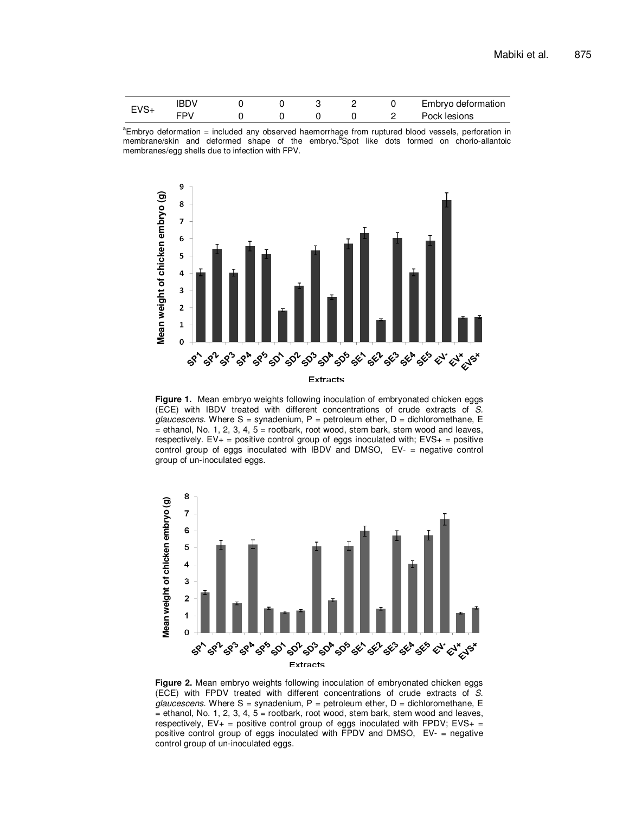| <b>100</b> |  |  |  | Embryo deformation |
|------------|--|--|--|--------------------|
|            |  |  |  | Pock lesions       |





**Figure 1.** Mean embryo weights following inoculation of embryonated chicken eggs (ECE) with IBDV treated with different concentrations of crude extracts of S. glaucescens. Where  $S =$  synadenium, P = petroleum ether, D = dichloromethane, E  $=$  ethanol, No. 1, 2, 3, 4, 5 = rootbark, root wood, stem bark, stem wood and leaves, respectively.  $EV_{+}$  = positive control group of eggs inoculated with;  $EVS_{+}$  = positive control group of eggs inoculated with IBDV and DMSO, EV- = negative control group of un-inoculated eggs.



**Figure 2.** Mean embryo weights following inoculation of embryonated chicken eggs (ECE) with FPDV treated with different concentrations of crude extracts of S.  $glaucescens.$  Where S = synadenium, P = petroleum ether, D = dichloromethane, E  $=$  ethanol, No. 1, 2, 3, 4, 5 = rootbark, root wood, stem bark, stem wood and leaves, respectively,  $EV_{+}$  = positive control group of eggs inoculated with FPDV; EVS+ = positive control group of eggs inoculated with FPDV and DMSO, EV- = negative control group of un-inoculated eggs.